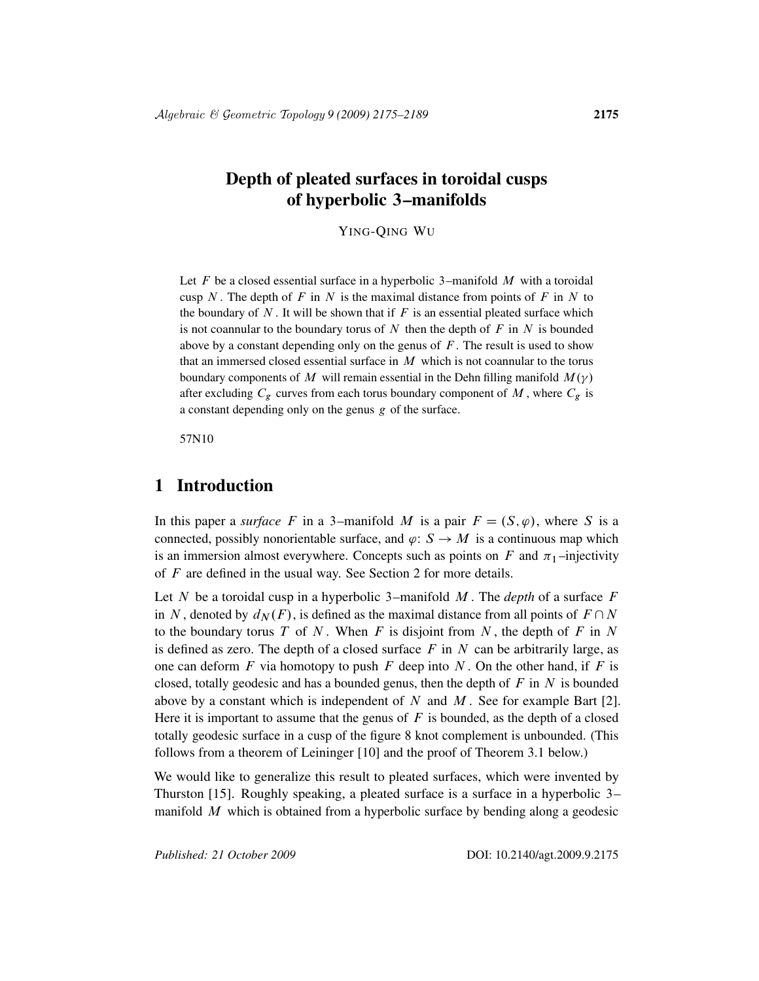# Depth of pleated surfaces in toroidal cusps of hyperbolic 3–manifolds

YING-QING WU

Let F be a closed essential surface in a hyperbolic 3–manifold  $M$  with a toroidal cusp N. The depth of F in N is the maximal distance from points of F in N to the boundary of  $N$ . It will be shown that if  $F$  is an essential pleated surface which is not coannular to the boundary torus of N then the depth of  $F$  in N is bounded above by a constant depending only on the genus of  $F$ . The result is used to show that an immersed closed essential surface in  $M$  which is not coannular to the torus boundary components of M will remain essential in the Dehn filling manifold  $M(\gamma)$ after excluding  $C_g$  curves from each torus boundary component of M, where  $C_g$  is a constant depending only on the genus g of the surface.

57N10

## 1 Introduction

In this paper a *surface* F in a 3-manifold M is a pair  $F = (S, \varphi)$ , where S is a connected, possibly nonorientable surface, and  $\varphi: S \to M$  is a continuous map which is an immersion almost everywhere. Concepts such as points on  $F$  and  $\pi_1$ -injectivity of F are defined in the usual way. See Section 2 for more details.

Let N be a toroidal cusp in a hyperbolic 3–manifold M . The *depth* of a surface F in N, denoted by  $d_N(F)$ , is defined as the maximal distance from all points of  $F \cap N$ to the boundary torus  $T$  of  $N$ . When  $F$  is disjoint from  $N$ , the depth of  $F$  in  $N$ is defined as zero. The depth of a closed surface  $F$  in  $N$  can be arbitrarily large, as one can deform  $F$  via homotopy to push  $F$  deep into  $N$ . On the other hand, if  $F$  is closed, totally geodesic and has a bounded genus, then the depth of  $F$  in  $N$  is bounded above by a constant which is independent of  $N$  and  $M$ . See for example Bart [2]. Here it is important to assume that the genus of  $F$  is bounded, as the depth of a closed totally geodesic surface in a cusp of the figure 8 knot complement is unbounded. (This follows from a theorem of Leininger [10] and the proof of Theorem 3.1 below.)

We would like to generalize this result to pleated surfaces, which were invented by Thurston [15]. Roughly speaking, a pleated surface is a surface in a hyperbolic 3– manifold  $M$  which is obtained from a hyperbolic surface by bending along a geodesic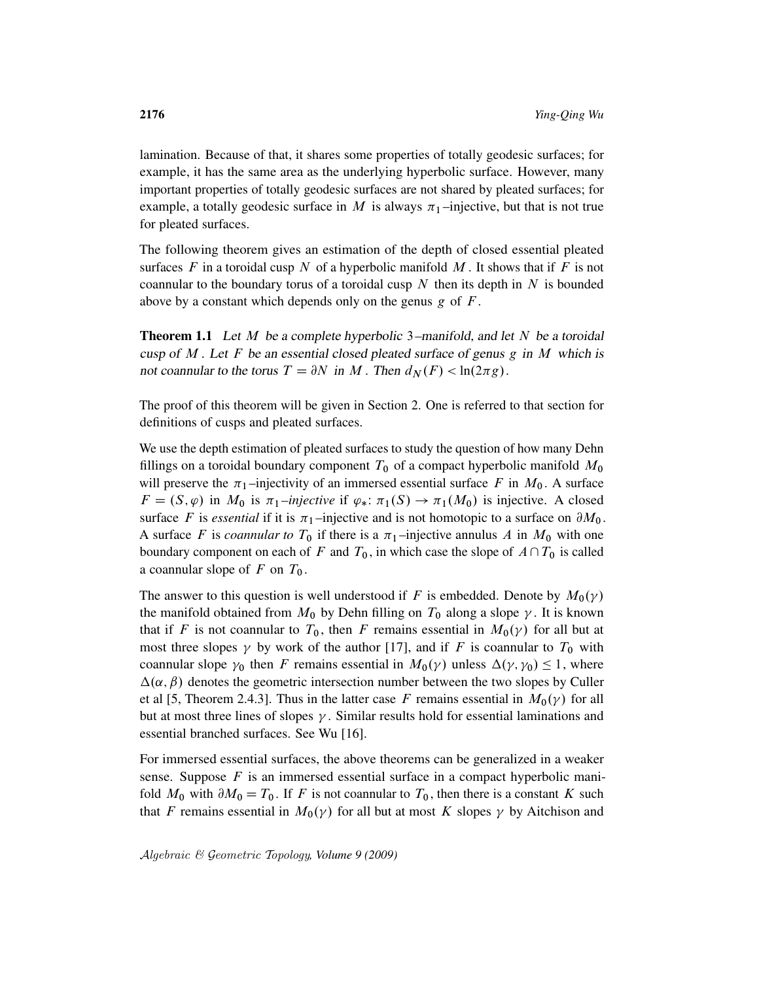lamination. Because of that, it shares some properties of totally geodesic surfaces; for example, it has the same area as the underlying hyperbolic surface. However, many important properties of totally geodesic surfaces are not shared by pleated surfaces; for example, a totally geodesic surface in M is always  $\pi_1$ -injective, but that is not true for pleated surfaces.

The following theorem gives an estimation of the depth of closed essential pleated surfaces F in a toroidal cusp N of a hyperbolic manifold M. It shows that if F is not coannular to the boundary torus of a toroidal cusp  $N$  then its depth in  $N$  is bounded above by a constant which depends only on the genus  $g$  of  $F$ .

**Theorem 1.1** Let M be a complete hyperbolic 3–manifold, and let N be a toroidal cusp of  $M$ . Let F be an essential closed pleated surface of genus g in  $M$  which is not coannular to the torus  $T = \partial N$  in M. Then  $d_N(F) < \ln(2\pi g)$ .

The proof of this theorem will be given in Section 2. One is referred to that section for definitions of cusps and pleated surfaces.

We use the depth estimation of pleated surfaces to study the question of how many Dehn fillings on a toroidal boundary component  $T_0$  of a compact hyperbolic manifold  $M_0$ will preserve the  $\pi_1$ -injectivity of an immersed essential surface F in  $M_0$ . A surface  $F = (S, \varphi)$  in  $M_0$  is  $\pi_1$ *–injective* if  $\varphi_*: \pi_1(S) \to \pi_1(M_0)$  is injective. A closed surface F is *essential* if it is  $\pi_1$ -injective and is not homotopic to a surface on  $\partial M_0$ . A surface F is *coannular to*  $T_0$  if there is a  $\pi_1$ -injective annulus A in  $M_0$  with one boundary component on each of F and  $T_0$ , in which case the slope of  $A\cap T_0$  is called a coannular slope of  $F$  on  $T_0$ .

The answer to this question is well understood if F is embedded. Denote by  $M_0(\gamma)$ the manifold obtained from  $M_0$  by Dehn filling on  $T_0$  along a slope  $\gamma$ . It is known that if F is not coannular to  $T_0$ , then F remains essential in  $M_0(\gamma)$  for all but at most three slopes  $\gamma$  by work of the author [17], and if F is coannular to  $T_0$  with coannular slope  $\gamma_0$  then F remains essential in  $M_0(\gamma)$  unless  $\Delta(\gamma, \gamma_0) \leq 1$ , where  $\Delta(\alpha, \beta)$  denotes the geometric intersection number between the two slopes by Culler et al [5, Theorem 2.4.3]. Thus in the latter case F remains essential in  $M_0(\gamma)$  for all but at most three lines of slopes  $\gamma$ . Similar results hold for essential laminations and essential branched surfaces. See Wu [16].

For immersed essential surfaces, the above theorems can be generalized in a weaker sense. Suppose  $F$  is an immersed essential surface in a compact hyperbolic manifold  $M_0$  with  $\partial M_0 = T_0$ . If F is not coannular to  $T_0$ , then there is a constant K such that F remains essential in  $M_0(\gamma)$  for all but at most K slopes  $\gamma$  by Aitchison and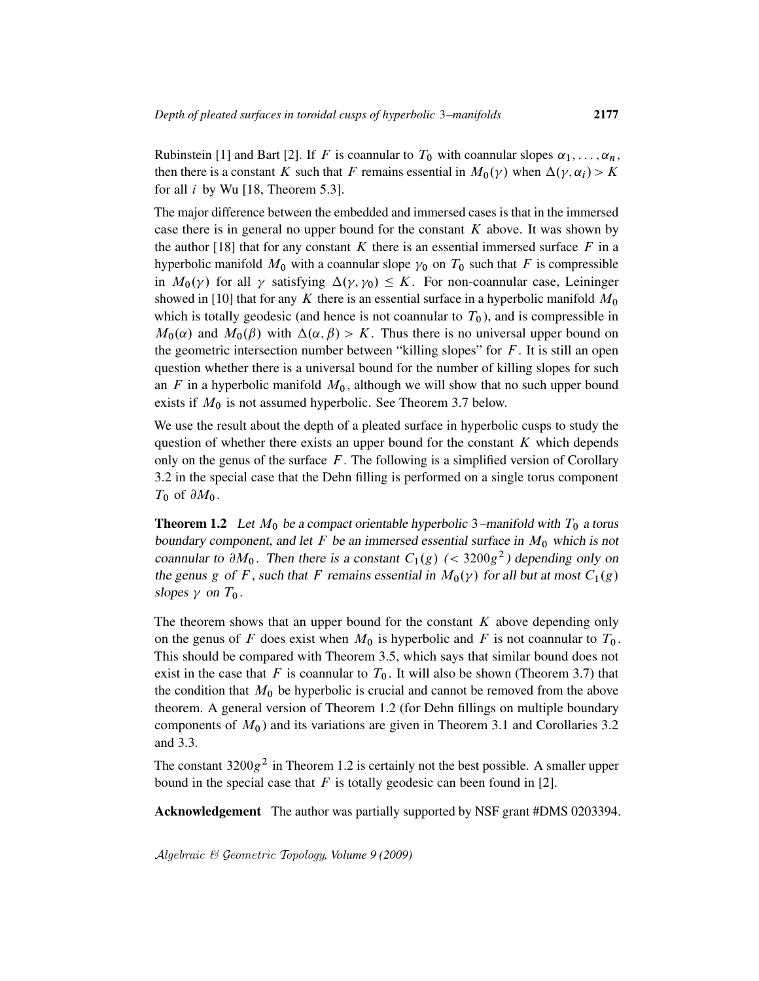Rubinstein [1] and Bart [2]. If F is coannular to  $T_0$  with coannular slopes  $\alpha_1, \ldots, \alpha_n$ , then there is a constant K such that F remains essential in  $M_0(\gamma)$  when  $\Delta(\gamma, \alpha_i) > K$ for all  $i$  by Wu [18, Theorem 5.3].

The major difference between the embedded and immersed cases is that in the immersed case there is in general no upper bound for the constant  $K$  above. It was shown by the author [18] that for any constant K there is an essential immersed surface  $F$  in a hyperbolic manifold  $M_0$  with a coannular slope  $\gamma_0$  on  $T_0$  such that F is compressible in  $M_0(\gamma)$  for all  $\gamma$  satisfying  $\Delta(\gamma, \gamma_0) \leq K$ . For non-coannular case, Leininger showed in [10] that for any K there is an essential surface in a hyperbolic manifold  $M_0$ which is totally geodesic (and hence is not coannular to  $T_0$ ), and is compressible in  $M_0(\alpha)$  and  $M_0(\beta)$  with  $\Delta(\alpha, \beta) > K$ . Thus there is no universal upper bound on the geometric intersection number between "killing slopes" for  $F$ . It is still an open question whether there is a universal bound for the number of killing slopes for such an  $F$  in a hyperbolic manifold  $M_0$ , although we will show that no such upper bound exists if  $M_0$  is not assumed hyperbolic. See Theorem 3.7 below.

We use the result about the depth of a pleated surface in hyperbolic cusps to study the question of whether there exists an upper bound for the constant  $K$  which depends only on the genus of the surface  $F$ . The following is a simplified version of Corollary 3.2 in the special case that the Dehn filling is performed on a single torus component  $T_0$  of  $\partial M_0$ .

**Theorem 1.2** Let  $M_0$  be a compact orientable hyperbolic 3–manifold with  $T_0$  a torus boundary component, and let F be an immersed essential surface in  $M_0$  which is not coannular to  $\partial M_0$ . Then there is a constant  $C_1(g)$  (< 3200g<sup>2</sup>) depending only on the genus g of F, such that F remains essential in  $M_0(\gamma)$  for all but at most  $C_1(g)$ slopes  $\gamma$  on  $T_0$ .

The theorem shows that an upper bound for the constant  $K$  above depending only on the genus of F does exist when  $M_0$  is hyperbolic and F is not coannular to  $T_0$ . This should be compared with Theorem 3.5, which says that similar bound does not exist in the case that F is coannular to  $T_0$ . It will also be shown (Theorem 3.7) that the condition that  $M_0$  be hyperbolic is crucial and cannot be removed from the above theorem. A general version of Theorem 1.2 (for Dehn fillings on multiple boundary components of  $M_0$ ) and its variations are given in Theorem 3.1 and Corollaries 3.2 and 3.3.

The constant  $3200g^2$  in Theorem 1.2 is certainly not the best possible. A smaller upper bound in the special case that  $F$  is totally geodesic can been found in [2].

Acknowledgement The author was partially supported by NSF grant #DMS 0203394.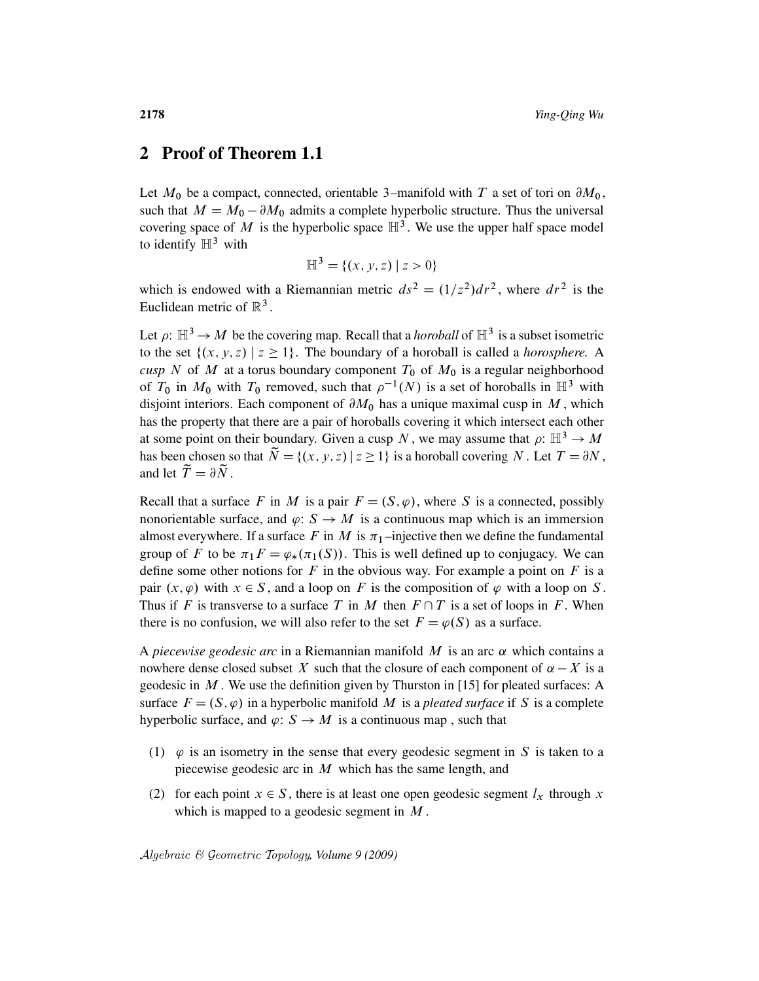### 2 Proof of Theorem 1.1

Let  $M_0$  be a compact, connected, orientable 3–manifold with T a set of tori on  $\partial M_0$ , such that  $M = M_0 - \partial M_0$  admits a complete hyperbolic structure. Thus the universal covering space of M is the hyperbolic space  $\mathbb{H}^3$ . We use the upper half space model to identify  $\mathbb{H}^3$  with

$$
\mathbb{H}^3 = \{(x, y, z) \mid z > 0\}
$$

which is endowed with a Riemannian metric  $ds^2 = (1/z^2)dr^2$ , where  $dr^2$  is the Euclidean metric of  $\mathbb{R}^3$ .

Let  $\rho: \mathbb{H}^3 \to M$  be the covering map. Recall that a *horoball* of  $\mathbb{H}^3$  is a subset isometric to the set  $\{(x, y, z) | z \ge 1\}$ . The boundary of a horoball is called a *horosphere*. A *cusp* N of M at a torus boundary component  $T_0$  of  $M_0$  is a regular neighborhood of  $T_0$  in  $M_0$  with  $T_0$  removed, such that  $\rho^{-1}(N)$  is a set of horoballs in  $\mathbb{H}^3$  with disjoint interiors. Each component of  $\partial M_0$  has a unique maximal cusp in M, which has the property that there are a pair of horoballs covering it which intersect each other at some point on their boundary. Given a cusp N, we may assume that  $\rho: \mathbb{H}^3 \to M$ has been chosen so that  $\widetilde{N} = \{(x, y, z) | z \ge 1\}$  is a horoball covering N. Let  $T = \partial N$ , and let  $\widetilde{T} = \partial \widetilde{N}$ .

Recall that a surface F in M is a pair  $F = (S, \varphi)$ , where S is a connected, possibly nonorientable surface, and  $\varphi: S \to M$  is a continuous map which is an immersion almost everywhere. If a surface F in M is  $\pi_1$ -injective then we define the fundamental group of F to be  $\pi_1 F = \varphi_*(\pi_1(S))$ . This is well defined up to conjugacy. We can define some other notions for  $F$  in the obvious way. For example a point on  $F$  is a pair  $(x, \varphi)$  with  $x \in S$ , and a loop on F is the composition of  $\varphi$  with a loop on S. Thus if F is transverse to a surface T in M then  $F \cap T$  is a set of loops in F. When there is no confusion, we will also refer to the set  $F = \varphi(S)$  as a surface.

A *piecewise geodesic arc* in a Riemannian manifold  $M$  is an arc  $\alpha$  which contains a nowhere dense closed subset X such that the closure of each component of  $\alpha - X$  is a geodesic in  $M$ . We use the definition given by Thurston in [15] for pleated surfaces: A surface  $F = (S, \varphi)$  in a hyperbolic manifold M is a *pleated surface* if S is a complete hyperbolic surface, and  $\varphi: S \to M$  is a continuous map, such that

- (1)  $\varphi$  is an isometry in the sense that every geodesic segment in S is taken to a piecewise geodesic arc in  $M$  which has the same length, and
- (2) for each point  $x \in S$ , there is at least one open geodesic segment  $l_x$  through x which is mapped to a geodesic segment in  $M$ .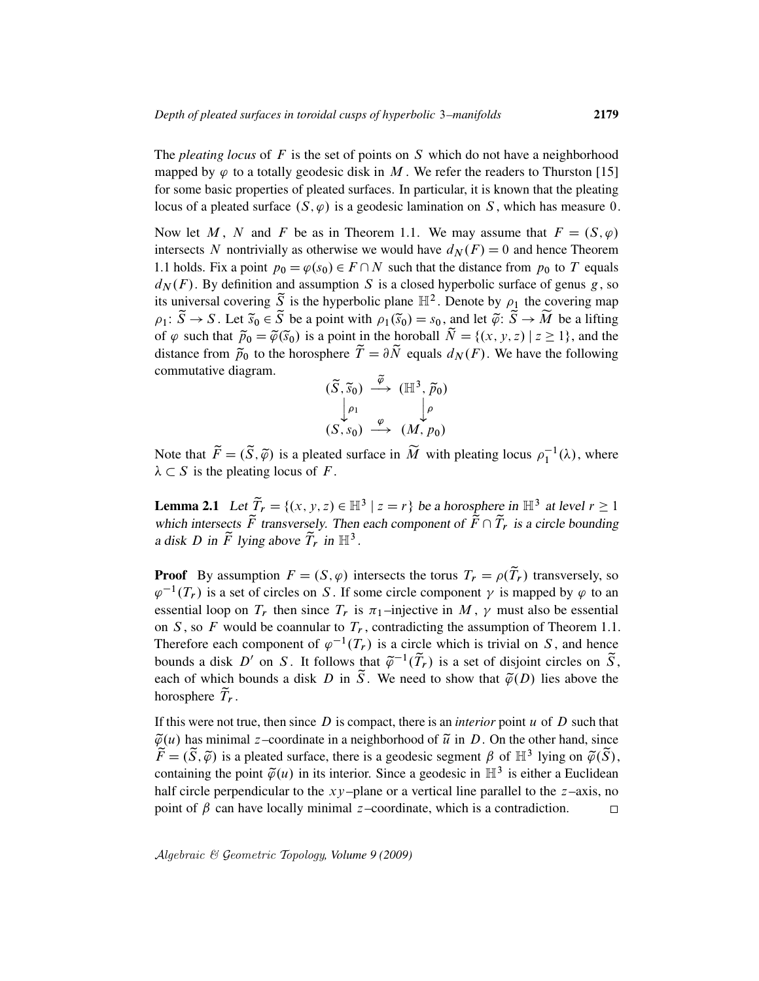The *pleating locus* of F is the set of points on S which do not have a neighborhood mapped by  $\varphi$  to a totally geodesic disk in M. We refer the readers to Thurston [15] for some basic properties of pleated surfaces. In particular, it is known that the pleating locus of a pleated surface  $(S, \varphi)$  is a geodesic lamination on S, which has measure 0.

Now let M, N and F be as in Theorem 1.1. We may assume that  $F = (S, \varphi)$ intersects N nontrivially as otherwise we would have  $d_N(F) = 0$  and hence Theorem 1.1 holds. Fix a point  $p_0 = \varphi(s_0) \in F \cap N$  such that the distance from  $p_0$  to T equals  $d_N(F)$ . By definition and assumption S is a closed hyperbolic surface of genus g, so its universal covering  $\widetilde{S}$  is the hyperbolic plane  $\mathbb{H}^2$ . Denote by  $\rho_1$  the covering map  $\rho_1: \widetilde{S} \to S$ . Let  $\widetilde{s}_0 \in \widetilde{S}$  be a point with  $\rho_1(\widetilde{s}_0) = s_0$ , and let  $\widetilde{\varphi}: \widetilde{S} \to \widetilde{M}$  be a lifting of  $\varphi$  such that  $\tilde{p}_0 = \tilde{\varphi}(\tilde{s}_0)$  is a point in the horoball  $\tilde{N} = \{(x, y, z) | z \ge 1\}$ , and the distance from  $\tilde{p}_0$  to the horosphere  $\tilde{T} = \partial \tilde{N}$  equals  $d_N(F)$ . We have the following commutative diagram.

$$
\begin{array}{ccc}\n(\widetilde{S},\widetilde{s}_{0}) & \xrightarrow{\widetilde{\varphi}} & (\mathbb{H}^{3},\widetilde{p}_{0}) \\
\downarrow\rho_{1} & & \downarrow\rho \\
(S,s_{0}) & \xrightarrow{\varphi} & (M,p_{0})\n\end{array}
$$

Note that  $\widetilde{F} = (\widetilde{S}, \widetilde{\varphi})$  is a pleated surface in  $\widetilde{M}$  with pleating locus  $\rho_1^{-1}(\lambda)$ , where  $\lambda \subset S$  is the pleating locus of F.

**Lemma 2.1** Let  $\widetilde{T}_r = \{(x, y, z) \in \mathbb{H}^3 \mid z = r\}$  be a horosphere in  $\mathbb{H}^3$  at level  $r \ge 1$ which intersects  $\tilde{F}$  transversely. Then each component of  $\tilde{F} \cap \tilde{T}_r$  is a circle bounding a disk D in  $\tilde{F}$  lying above  $\tilde{T}_r$  in  $\mathbb{H}^3$ .

**Proof** By assumption  $F = (S, \varphi)$  intersects the torus  $T_r = \rho(\tilde{T}_r)$  transversely, so  $\varphi^{-1}(T_r)$  is a set of circles on S. If some circle component  $\gamma$  is mapped by  $\varphi$  to an essential loop on  $T_r$  then since  $T_r$  is  $\pi_1$ -injective in M,  $\gamma$  must also be essential on S, so F would be coannular to  $T_r$ , contradicting the assumption of Theorem 1.1. Therefore each component of  $\varphi^{-1}(T_r)$  is a circle which is trivial on S, and hence bounds a disk D' on S. It follows that  $\tilde{\varphi}^{-1}(\tilde{T}_r)$  is a set of disjoint circles on  $\tilde{S}$ , each of which bounds a disk D in  $\tilde{S}$ . We need to show that  $\tilde{\varphi}(D)$  lies above the horosphere  $\tilde{T}_r$ .

If this were not true, then since  $D$  is compact, there is an *interior* point  $u$  of  $D$  such that  $\tilde{\varphi}(u)$  has minimal z–coordinate in a neighborhood of  $\tilde{u}$  in D. On the other hand, since  $\widetilde{F} = (\widetilde{S}, \widetilde{\varphi})$  is a pleated surface, there is a geodesic segment  $\beta$  of  $\mathbb{H}^3$  lying on  $\widetilde{\varphi}(\widetilde{S})$ , containing the point  $\tilde{\varphi}(u)$  in its interior. Since a geodesic in  $\mathbb{H}^3$  is either a Euclidean half circle perpendicular to the  $xy$ –plane or a vertical line parallel to the  $z$ –axis, no point of  $\beta$  can have locally minimal z–coordinate, which is a contradiction.  $\Box$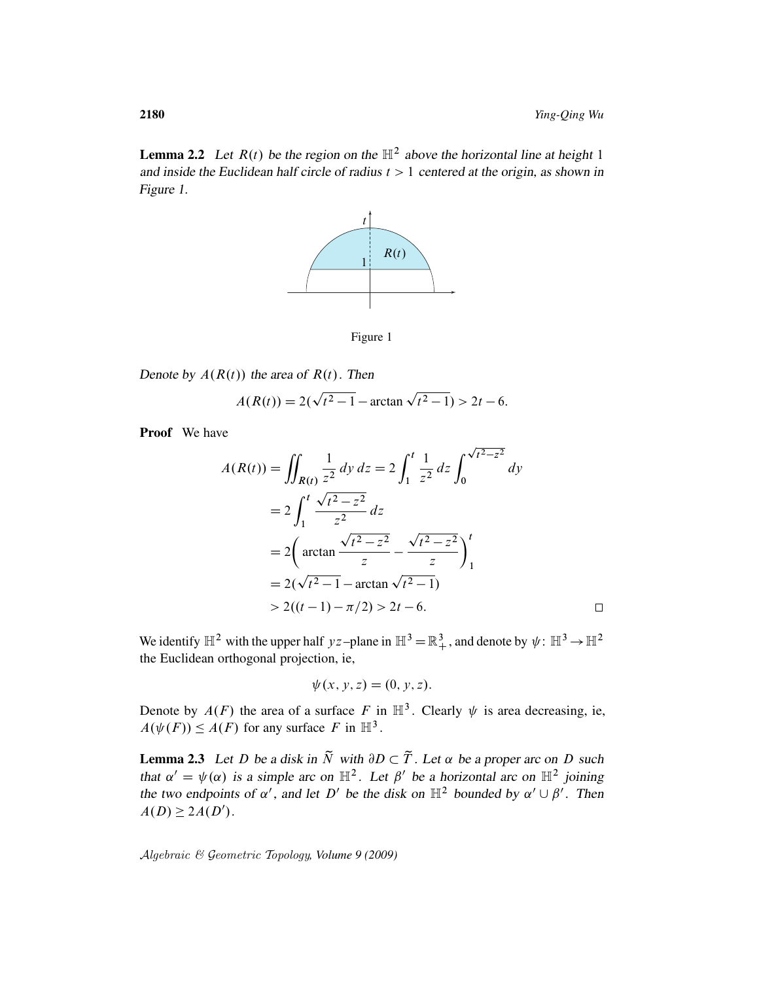$\Box$ 

**Lemma 2.2** Let  $R(t)$  be the region on the  $\mathbb{H}^2$  above the horizontal line at height 1 and inside the Euclidean half circle of radius  $t > 1$  centered at the origin, as shown in Figure 1.



Figure 1

Denote by  $A(R(t))$  the area of  $R(t)$ . Then p

$$
A(R(t)) = 2(\sqrt{t^2 - 1} - \arctan \sqrt{t^2 - 1}) > 2t - 6.
$$

Proof We have

$$
A(R(t)) = \iint_{R(t)} \frac{1}{z^2} dy dz = 2 \int_1^t \frac{1}{z^2} dz \int_0^{\sqrt{t^2 - z^2}} dy
$$
  
=  $2 \int_1^t \frac{\sqrt{t^2 - z^2}}{z^2} dz$   
=  $2 \left( \arctan \frac{\sqrt{t^2 - z^2}}{z} - \frac{\sqrt{t^2 - z^2}}{z} \right)_1^t$   
=  $2(\sqrt{t^2 - 1} - \arctan \sqrt{t^2 - 1})$   
>  $2((t - 1) - \pi/2) > 2t - 6$ .

p

We identify  $\mathbb{H}^2$  with the upper half yz-plane in  $\mathbb{H}^3 = \mathbb{R}^3_+$ , and denote by  $\psi: \mathbb{H}^3 \to \mathbb{H}^2$ the Euclidean orthogonal projection, ie,

$$
\psi(x, y, z) = (0, y, z).
$$

Denote by  $A(F)$  the area of a surface F in  $\mathbb{H}^3$ . Clearly  $\psi$  is area decreasing, ie,  $A(\psi(F)) \leq A(F)$  for any surface F in  $\mathbb{H}^3$ .

**Lemma 2.3** Let D be a disk in  $\tilde{N}$  with  $\partial D \subset \tilde{T}$ . Let  $\alpha$  be a proper arc on D such that  $\alpha' = \psi(\alpha)$  is a simple arc on  $\mathbb{H}^2$ . Let  $\beta'$  be a horizontal arc on  $\mathbb{H}^2$  joining the two endpoints of  $\alpha'$ , and let D' be the disk on  $\mathbb{H}^2$  bounded by  $\alpha' \cup \beta'$ . Then  $A(D) \geq 2A(D')$ .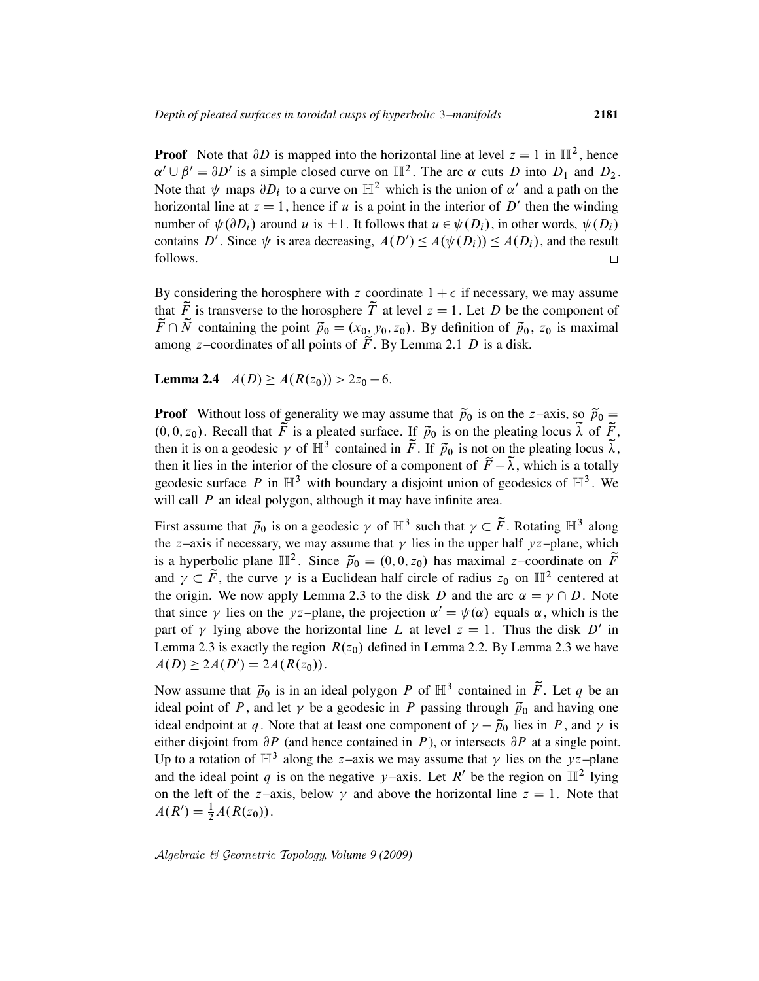**Proof** Note that  $\partial D$  is mapped into the horizontal line at level  $z = 1$  in  $\mathbb{H}^2$ , hence  $\alpha' \cup \beta' = \partial D'$  is a simple closed curve on  $\mathbb{H}^2$ . The arc  $\alpha$  cuts D into  $D_1$  and  $D_2$ . Note that  $\psi$  maps  $\partial D_i$  to a curve on  $\mathbb{H}^2$  which is the union of  $\alpha'$  and a path on the horizontal line at  $z = 1$ , hence if u is a point in the interior of D' then the winding number of  $\psi(\partial D_i)$  around u is  $\pm 1$ . It follows that  $u \in \psi(D_i)$ , in other words,  $\psi(D_i)$ contains D'. Since  $\psi$  is area decreasing,  $A(D') \le A(\psi(D_i)) \le A(D_i)$ , and the result follows.  $\Box$ 

By considering the horosphere with z coordinate  $1 + \epsilon$  if necessary, we may assume that  $\tilde{F}$  is transverse to the horosphere  $\tilde{T}$  at level  $z = 1$ . Let D be the component of  $\widetilde{F} \cap \widetilde{N}$  containing the point  $\widetilde{p}_0 = (x_0, y_0, z_0)$ . By definition of  $\widetilde{p}_0$ ,  $z_0$  is maximal among z–coordinates of all points of  $\tilde{F}$ . By Lemma 2.1 D is a disk.

**Lemma 2.4**  $A(D) \ge A(R(z_0)) > 2z_0 - 6$ .

**Proof** Without loss of generality we may assume that  $\tilde{p}_0$  is on the z–axis, so  $\tilde{p}_0 =$  $(0, 0, z_0)$ . Recall that  $\tilde{F}$  is a pleated surface. If  $\tilde{p}_0$  is on the pleating locus  $\tilde{\lambda}$  of  $\tilde{F}$ , then it is on a geodesic  $\gamma$  of  $\mathbb{H}^3$  contained in  $\tilde{F}$ . If  $\tilde{p}_0$  is not on the pleating locus  $\tilde{\lambda}$ , then it lies in the interior of the closure of a component of  $\tilde{F}-\tilde{\lambda}$ , which is a totally geodesic surface P in  $\mathbb{H}^3$  with boundary a disjoint union of geodesics of  $\mathbb{H}^3$ . We will call  *an ideal polygon, although it may have infinite area.* 

First assume that  $\tilde{p}_0$  is on a geodesic  $\gamma$  of  $\mathbb{H}^3$  such that  $\gamma \subset \tilde{F}$ . Rotating  $\mathbb{H}^3$  along the z-axis if necessary, we may assume that  $\gamma$  lies in the upper half yz-plane, which is a hyperbolic plane  $\mathbb{H}^2$ . Since  $\tilde{p}_0 = (0, 0, z_0)$  has maximal z-coordinate on  $\tilde{F}$ and  $\gamma \subset \tilde{F}$ , the curve  $\gamma$  is a Euclidean half circle of radius  $z_0$  on  $\mathbb{H}^2$  centered at the origin. We now apply Lemma 2.3 to the disk D and the arc  $\alpha = \gamma \cap D$ . Note that since  $\gamma$  lies on the yz-plane, the projection  $\alpha' = \psi(\alpha)$  equals  $\alpha$ , which is the part of  $\gamma$  lying above the horizontal line L at level  $z = 1$ . Thus the disk D' in Lemma 2.3 is exactly the region  $R(z_0)$  defined in Lemma 2.2. By Lemma 2.3 we have  $A(D) \geq 2A(D') = 2A(R(z_0)).$ 

Now assume that  $\tilde{p}_0$  is in an ideal polygon P of  $\mathbb{H}^3$  contained in  $\tilde{F}$ . Let q be an ideal point of P, and let  $\gamma$  be a geodesic in P passing through  $\tilde{p}_0$  and having one ideal endpoint at q. Note that at least one component of  $\gamma - \tilde{p}_0$  lies in P, and  $\gamma$  is either disjoint from  $\partial P$  (and hence contained in P), or intersects  $\partial P$  at a single point. Up to a rotation of  $\mathbb{H}^3$  along the z-axis we may assume that  $\gamma$  lies on the yz-plane and the ideal point q is on the negative y–axis. Let R' be the region on  $\mathbb{H}^2$  lying on the left of the z–axis, below  $\gamma$  and above the horizontal line  $z = 1$ . Note that  $A(R') = \frac{1}{2}A(R(z_0)).$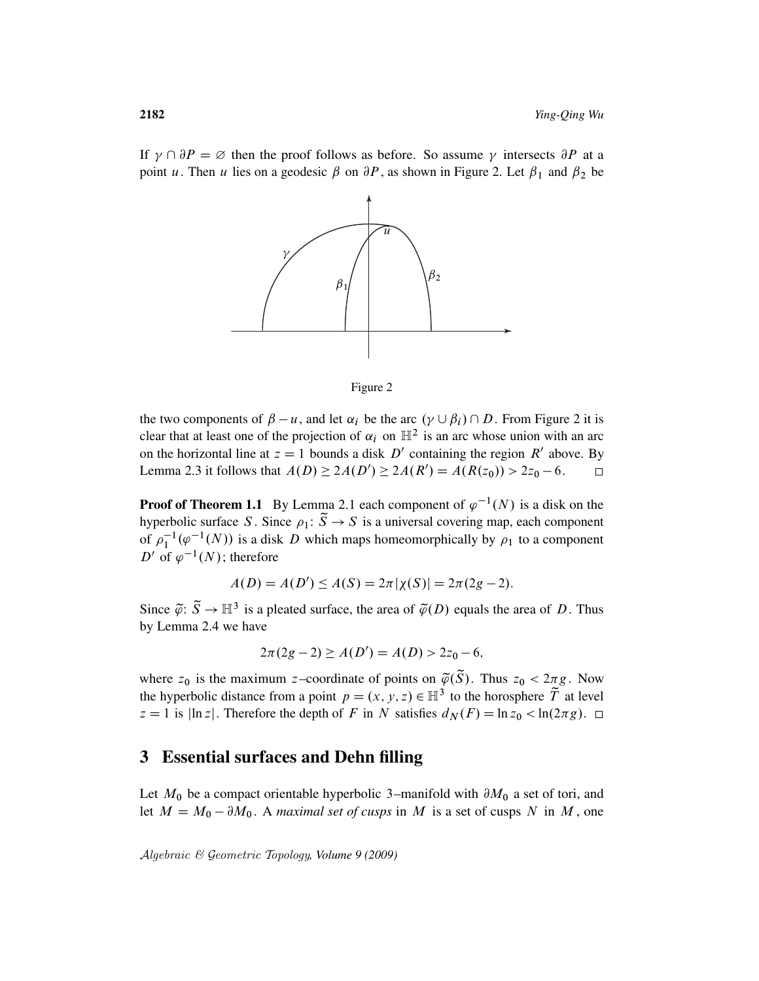If  $\gamma \cap \partial P = \emptyset$  then the proof follows as before. So assume  $\gamma$  intersects  $\partial P$  at a point u. Then u lies on a geodesic  $\beta$  on  $\partial P$ , as shown in Figure 2. Let  $\beta_1$  and  $\beta_2$  be



Figure 2

the two components of  $\beta - u$ , and let  $\alpha_i$  be the arc  $(\gamma \cup \beta_i) \cap D$ . From Figure 2 it is clear that at least one of the projection of  $\alpha_i$  on  $\mathbb{H}^2$  is an arc whose union with an arc on the horizontal line at  $z = 1$  bounds a disk  $D'$  containing the region  $R'$  above. By Lemma 2.3 it follows that  $A(D) \ge 2A(D') \ge 2A(R') = A(R(z_0)) > 2z_0 - 6$ .  $\Box$ 

**Proof of Theorem 1.1** By Lemma 2.1 each component of  $\varphi^{-1}(N)$  is a disk on the hyperbolic surface S. Since  $\rho_1: \tilde{S} \to S$  is a universal covering map, each component of  $\rho_1^{-1}(\varphi^{-1}(N))$  is a disk D which maps homeomorphically by  $\rho_1$  to a component D' of  $\varphi^{-1}(N)$ ; therefore

$$
A(D) = A(D') \le A(S) = 2\pi |\chi(S)| = 2\pi (2g - 2).
$$

Since  $\tilde{\varphi}$ :  $\tilde{S} \to \mathbb{H}^3$  is a pleated surface, the area of  $\tilde{\varphi}(D)$  equals the area of D. Thus by Lemma 2.4 we have

$$
2\pi(2g-2) \ge A(D') = A(D) > 2z_0 - 6,
$$

where  $z_0$  is the maximum z–coordinate of points on  $\tilde{\varphi}(\tilde{S})$ . Thus  $z_0 < 2\pi g$ . Now the hyperbolic distance from a point  $p = (x, y, z) \in \mathbb{H}^3$  to the horosphere  $\widetilde{T}$  at level  $z = 1$  is  $|\ln z|$ . Therefore the depth of F in N satisfies  $d_N(F) = \ln z_0 < \ln(2\pi g)$ .  $\Box$ 

## 3 Essential surfaces and Dehn filling

Let  $M_0$  be a compact orientable hyperbolic 3–manifold with  $\partial M_0$  a set of tori, and let  $M = M_0 - \partial M_0$ . A *maximal set of cusps* in M is a set of cusps N in M, one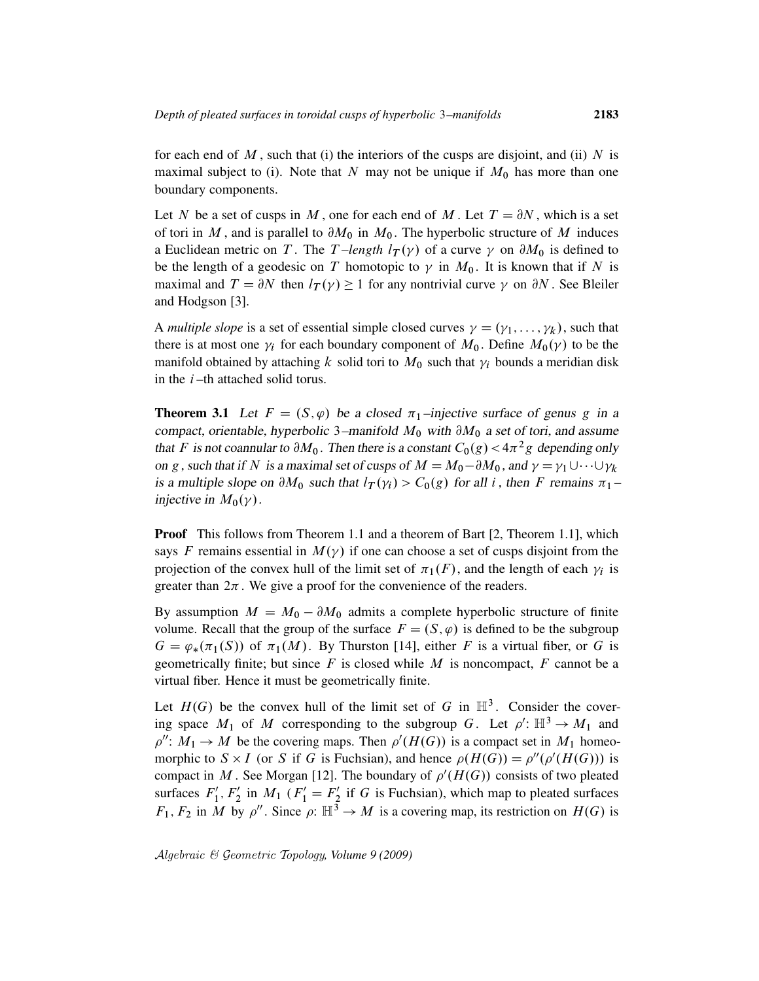for each end of  $M$ , such that (i) the interiors of the cusps are disjoint, and (ii)  $N$  is maximal subject to (i). Note that N may not be unique if  $M_0$  has more than one boundary components.

Let N be a set of cusps in M, one for each end of M. Let  $T = \partial N$ , which is a set of tori in M, and is parallel to  $\partial M_0$  in  $M_0$ . The hyperbolic structure of M induces a Euclidean metric on T. The T-length  $l_T(y)$  of a curve  $\gamma$  on  $\partial M_0$  is defined to be the length of a geodesic on T homotopic to  $\gamma$  in  $M_0$ . It is known that if N is maximal and  $T = \partial N$  then  $l_T(\gamma) \geq 1$  for any nontrivial curve  $\gamma$  on  $\partial N$ . See Bleiler and Hodgson [3].

A *multiple slope* is a set of essential simple closed curves  $\gamma = (\gamma_1, \dots, \gamma_k)$ , such that there is at most one  $\gamma_i$  for each boundary component of  $M_0$ . Define  $M_0(\gamma)$  to be the manifold obtained by attaching k solid tori to  $M_0$  such that  $\gamma_i$  bounds a meridian disk in the  $i$ -th attached solid torus.

**Theorem 3.1** Let  $F = (S, \varphi)$  be a closed  $\pi_1$ -injective surface of genus g in a compact, orientable, hyperbolic 3–manifold  $M_0$  with  $\partial M_0$  a set of tori, and assume that F is not coannular to  $\partial M_0$ . Then there is a constant  $C_0(g) < 4\pi^2 g$  depending only on g, such that if N is a maximal set of cusps of  $M = M_0 - \partial M_0$ , and  $\gamma = \gamma_1 \cup \cdots \cup \gamma_k$ is a multiple slope on  $\partial M_0$  such that  $l_T(\gamma_i) > C_0(g)$  for all i, then F remains  $\pi_1$  – injective in  $M_0(\gamma)$ .

**Proof** This follows from Theorem 1.1 and a theorem of Bart [2, Theorem 1.1], which says F remains essential in  $M(\gamma)$  if one can choose a set of cusps disjoint from the projection of the convex hull of the limit set of  $\pi_1(F)$ , and the length of each  $\gamma_i$  is greater than  $2\pi$ . We give a proof for the convenience of the readers.

By assumption  $M = M_0 - \partial M_0$  admits a complete hyperbolic structure of finite volume. Recall that the group of the surface  $F = (S, \varphi)$  is defined to be the subgroup  $G = \varphi_*(\pi_1(S))$  of  $\pi_1(M)$ . By Thurston [14], either F is a virtual fiber, or G is geometrically finite; but since  $F$  is closed while  $M$  is noncompact,  $F$  cannot be a virtual fiber. Hence it must be geometrically finite.

Let  $H(G)$  be the convex hull of the limit set of G in  $\mathbb{H}^3$ . Consider the covering space  $M_1$  of M corresponding to the subgroup G. Let  $\rho' : \mathbb{H}^3 \to M_1$  and  $\rho''$ :  $M_1 \to M$  be the covering maps. Then  $\rho'(H(G))$  is a compact set in  $M_1$  homeomorphic to  $S \times I$  (or S if G is Fuchsian), and hence  $\rho(H(G)) = \rho''(\rho'(H(G)))$  is compact in M. See Morgan [12]. The boundary of  $\rho'(H(G))$  consists of two pleated surfaces  $F_1'$  $'_{1}, F'_{2}$  $y'_2$  in  $M_1$  ( $F'_1 = F'_2$ )  $y'_2$  if G is Fuchsian), which map to pleated surfaces  $F_1, F_2$  in M by  $\rho''$ . Since  $\rho: \mathbb{H}^3 \to M$  is a covering map, its restriction on  $H(G)$  is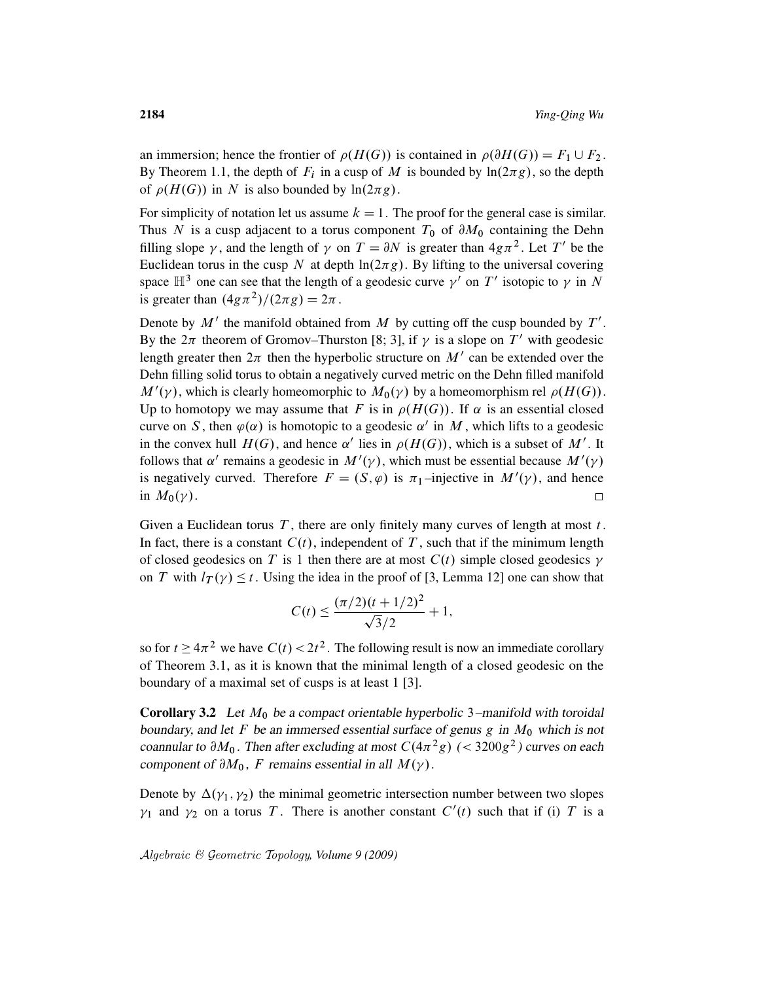an immersion; hence the frontier of  $\rho(H(G))$  is contained in  $\rho(\partial H(G)) = F_1 \cup F_2$ . By Theorem 1.1, the depth of  $F_i$  in a cusp of M is bounded by  $\ln(2\pi g)$ , so the depth of  $\rho(H(G))$  in N is also bounded by  $\ln(2\pi g)$ .

For simplicity of notation let us assume  $k = 1$ . The proof for the general case is similar. Thus N is a cusp adjacent to a torus component  $T_0$  of  $\partial M_0$  containing the Dehn filling slope  $\gamma$ , and the length of  $\gamma$  on  $T = \partial N$  is greater than  $4g\pi^2$ . Let T' be the Euclidean torus in the cusp N at depth  $ln(2\pi g)$ . By lifting to the universal covering space  $\mathbb{H}^3$  one can see that the length of a geodesic curve  $\gamma'$  on T' isotopic to  $\gamma$  in N is greater than  $(4g\pi^2)/(2\pi g) = 2\pi$ .

Denote by  $M'$  the manifold obtained from M by cutting off the cusp bounded by  $T'$ . By the  $2\pi$  theorem of Gromov–Thurston [8; 3], if  $\gamma$  is a slope on T' with geodesic length greater then  $2\pi$  then the hyperbolic structure on M' can be extended over the Dehn filling solid torus to obtain a negatively curved metric on the Dehn filled manifold  $M'(\gamma)$ , which is clearly homeomorphic to  $M_0(\gamma)$  by a homeomorphism rel  $\rho(H(G))$ . Up to homotopy we may assume that F is in  $\rho(H(G))$ . If  $\alpha$  is an essential closed curve on S, then  $\varphi(\alpha)$  is homotopic to a geodesic  $\alpha'$  in M, which lifts to a geodesic in the convex hull  $H(G)$ , and hence  $\alpha'$  lies in  $\rho(H(G))$ , which is a subset of M'. It follows that  $\alpha'$  remains a geodesic in  $M'(\gamma)$ , which must be essential because  $M'(\gamma)$ is negatively curved. Therefore  $F = (S, \varphi)$  is  $\pi_1$ -injective in  $M'(\gamma)$ , and hence in  $M_0(\gamma)$ .  $\Box$ 

Given a Euclidean torus  $T$ , there are only finitely many curves of length at most  $t$ . In fact, there is a constant  $C(t)$ , independent of T, such that if the minimum length of closed geodesics on T is 1 then there are at most  $C(t)$  simple closed geodesics  $\gamma$ on T with  $l_T(\gamma) \leq t$ . Using the idea in the proof of [3, Lemma 12] one can show that

$$
C(t) \le \frac{(\pi/2)(t + 1/2)^2}{\sqrt{3}/2} + 1,
$$

so for  $t \ge 4\pi^2$  we have  $C(t) < 2t^2$ . The following result is now an immediate corollary of Theorem 3.1, as it is known that the minimal length of a closed geodesic on the boundary of a maximal set of cusps is at least 1 [3].

**Corollary 3.2** Let  $M_0$  be a compact orientable hyperbolic 3–manifold with toroidal boundary, and let F be an immersed essential surface of genus g in  $M_0$  which is not coannular to  $\partial M_0$ . Then after excluding at most  $C(4\pi^2 g)$  (< 3200g<sup>2</sup>) curves on each component of  $\partial M_0$ , F remains essential in all  $M(\gamma)$ .

Denote by  $\Delta(\gamma_1, \gamma_2)$  the minimal geometric intersection number between two slopes  $\gamma_1$  and  $\gamma_2$  on a torus T. There is another constant  $C'(t)$  such that if (i) T is a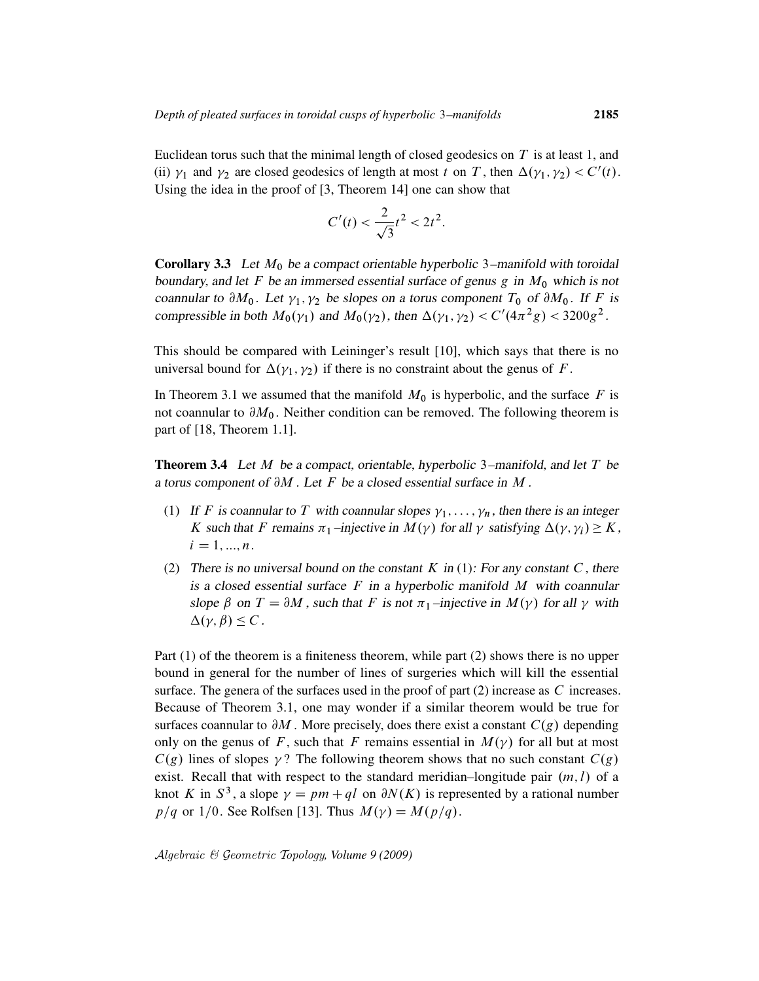Euclidean torus such that the minimal length of closed geodesics on  $T$  is at least 1, and (ii)  $\gamma_1$  and  $\gamma_2$  are closed geodesics of length at most t on T, then  $\Delta(\gamma_1, \gamma_2) < C'(t)$ . Using the idea in the proof of [3, Theorem 14] one can show that

$$
C'(t) < \frac{2}{\sqrt{3}}t^2 < 2t^2.
$$

**Corollary 3.3** Let  $M_0$  be a compact orientable hyperbolic 3–manifold with toroidal boundary, and let F be an immersed essential surface of genus  $g$  in  $M_0$  which is not coannular to  $\partial M_0$ . Let  $\gamma_1, \gamma_2$  be slopes on a torus component  $T_0$  of  $\partial M_0$ . If F is compressible in both  $M_0(\gamma_1)$  and  $M_0(\gamma_2)$ , then  $\Delta(\gamma_1, \gamma_2) < C'(4\pi^2 g) < 3200 g^2$ .

This should be compared with Leininger's result [10], which says that there is no universal bound for  $\Delta(\gamma_1, \gamma_2)$  if there is no constraint about the genus of F.

In Theorem 3.1 we assumed that the manifold  $M_0$  is hyperbolic, and the surface F is not coannular to  $\partial M_0$ . Neither condition can be removed. The following theorem is part of [18, Theorem 1.1].

**Theorem 3.4** Let M be a compact, orientable, hyperbolic 3–manifold, and let T be a torus component of  $\partial M$ . Let F be a closed essential surface in M.

- (1) If F is coannular to T with coannular slopes  $\gamma_1, \ldots, \gamma_n$ , then there is an integer K such that F remains  $\pi_1$ -injective in  $M(\gamma)$  for all  $\gamma$  satisfying  $\Delta(\gamma, \gamma_i) \geq K$ ,  $i = 1, ..., n$ .
- (2) There is no universal bound on the constant K in (1): For any constant C, there is a closed essential surface  $F$  in a hyperbolic manifold  $M$  with coannular slope  $\beta$  on  $T = \partial M$ , such that F is not  $\pi_1$ -injective in  $M(\gamma)$  for all  $\gamma$  with  $\Delta(\gamma, \beta) \leq C$ .

Part (1) of the theorem is a finiteness theorem, while part (2) shows there is no upper bound in general for the number of lines of surgeries which will kill the essential surface. The genera of the surfaces used in the proof of part  $(2)$  increase as C increases. Because of Theorem 3.1, one may wonder if a similar theorem would be true for surfaces coannular to  $\partial M$ . More precisely, does there exist a constant  $C(g)$  depending only on the genus of F, such that F remains essential in  $M(\gamma)$  for all but at most  $C(g)$  lines of slopes  $\gamma$ ? The following theorem shows that no such constant  $C(g)$ exist. Recall that with respect to the standard meridian–longitude pair  $(m, l)$  of a knot K in  $S^3$ , a slope  $\gamma = pm + ql$  on  $\partial N(K)$  is represented by a rational number  $p/q$  or 1/0. See Rolfsen [13]. Thus  $M(\gamma) = M(p/q)$ .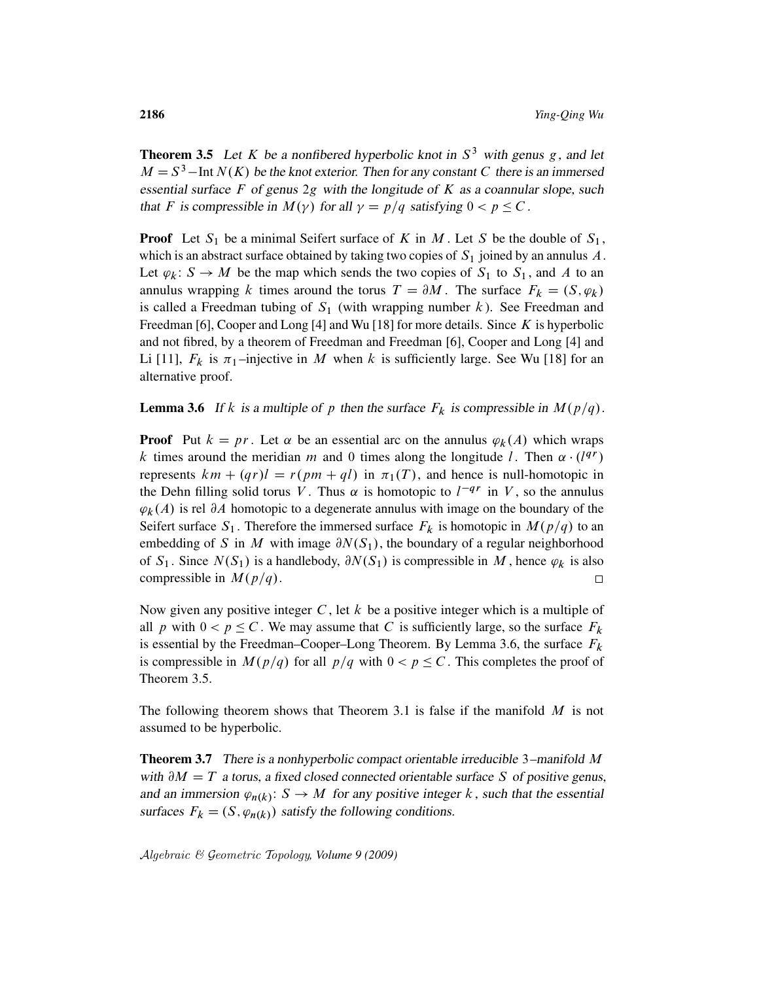**Theorem 3.5** Let K be a nonfibered hyperbolic knot in  $S<sup>3</sup>$  with genus g, and let  $M = S<sup>3</sup>$  – Int  $N(K)$  be the knot exterior. Then for any constant C there is an immersed essential surface  $F$  of genus 2g with the longitude of  $K$  as a coannular slope, such that F is compressible in  $M(\gamma)$  for all  $\gamma = p/q$  satisfying  $0 < p \leq C$ .

**Proof** Let  $S_1$  be a minimal Seifert surface of K in M. Let S be the double of  $S_1$ , which is an abstract surface obtained by taking two copies of  $S_1$  joined by an annulus  $A$ . Let  $\varphi_k: S \to M$  be the map which sends the two copies of  $S_1$  to  $S_1$ , and A to an annulus wrapping k times around the torus  $T = \partial M$ . The surface  $F_k = (S, \varphi_k)$ is called a Freedman tubing of  $S_1$  (with wrapping number k). See Freedman and Freedman [6], Cooper and Long [4] and Wu [18] for more details. Since  $K$  is hyperbolic and not fibred, by a theorem of Freedman and Freedman [6], Cooper and Long [4] and Li [11],  $F_k$  is  $\pi_1$ -injective in M when k is sufficiently large. See Wu [18] for an alternative proof.

**Lemma 3.6** If k is a multiple of p then the surface  $F_k$  is compressible in  $M(p/q)$ .

**Proof** Put  $k = pr$ . Let  $\alpha$  be an essential arc on the annulus  $\varphi_k(A)$  which wraps k times around the meridian m and 0 times along the longitude l. Then  $\alpha \cdot (l^{qr})$ represents  $km + (qr)l = r(pm + ql)$  in  $\pi_1(T)$ , and hence is null-homotopic in the Dehn filling solid torus V. Thus  $\alpha$  is homotopic to  $l^{-qr}$  in V, so the annulus  $\varphi_k(A)$  is rel  $\partial A$  homotopic to a degenerate annulus with image on the boundary of the Seifert surface  $S_1$ . Therefore the immersed surface  $F_k$  is homotopic in  $M(p/q)$  to an embedding of S in M with image  $\partial N(S_1)$ , the boundary of a regular neighborhood of  $S_1$ . Since  $N(S_1)$  is a handlebody,  $\partial N(S_1)$  is compressible in M, hence  $\varphi_k$  is also compressible in  $M(p/q)$ .  $\Box$ 

Now given any positive integer C, let  $k$  be a positive integer which is a multiple of all p with  $0 < p \leq C$ . We may assume that C is sufficiently large, so the surface  $F_k$ is essential by the Freedman–Cooper–Long Theorem. By Lemma 3.6, the surface  $F_k$ is compressible in  $M(p/q)$  for all  $p/q$  with  $0 < p \leq C$ . This completes the proof of Theorem 3.5.

The following theorem shows that Theorem 3.1 is false if the manifold  $M$  is not assumed to be hyperbolic.

**Theorem 3.7** There is a nonhyperbolic compact orientable irreducible 3–manifold M with  $\partial M = T$  a torus, a fixed closed connected orientable surface S of positive genus, and an immersion  $\varphi_{n(k)}: S \to M$  for any positive integer k, such that the essential surfaces  $F_k = (S, \varphi_{n(k)})$  satisfy the following conditions.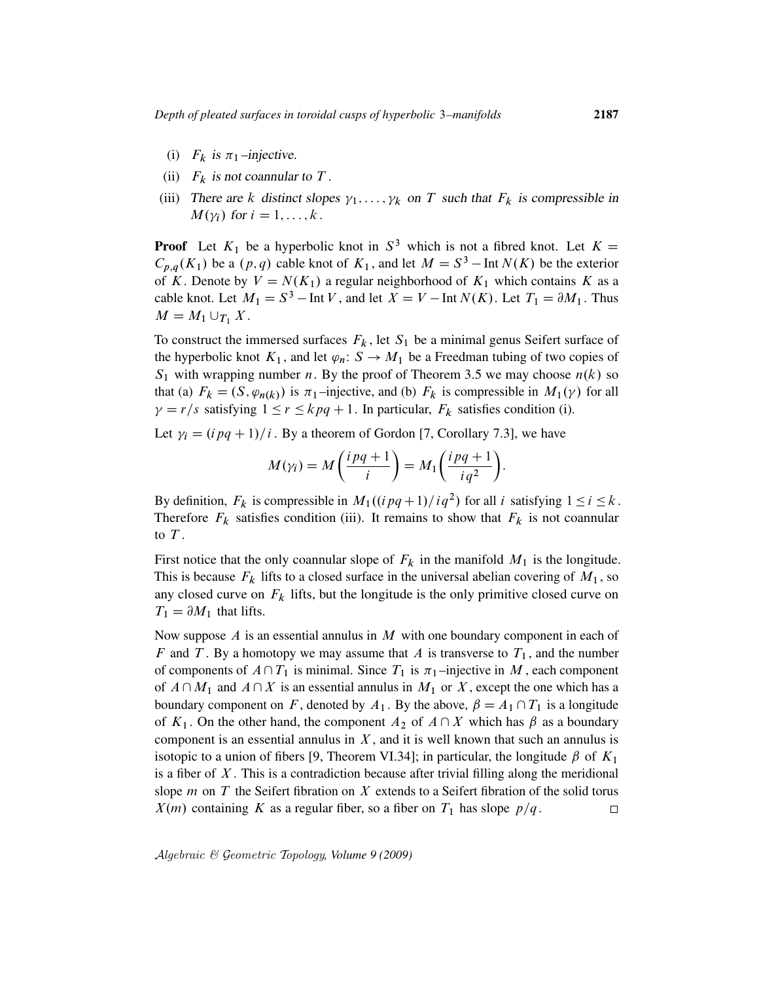- (i)  $F_k$  is  $\pi_1$ -injective.
- (ii)  $F_k$  is not coannular to T.
- (iii) There are k distinct slopes  $\gamma_1, \ldots, \gamma_k$  on T such that  $F_k$  is compressible in  $M(\gamma_i)$  for  $i = 1, \ldots, k$ .

**Proof** Let  $K_1$  be a hyperbolic knot in  $S^3$  which is not a fibred knot. Let  $K =$  $C_{p,q}(K_1)$  be a  $(p,q)$  cable knot of  $K_1$ , and let  $M = S^3$  – Int  $N(K)$  be the exterior of K. Denote by  $V = N(K_1)$  a regular neighborhood of  $K_1$  which contains K as a cable knot. Let  $M_1 = S^3$  – Int V, and let  $X = V$  – Int  $N(K)$ . Let  $T_1 = \partial M_1$ . Thus  $M = M_1 \cup_{T_1} X$ .

To construct the immersed surfaces  $F_k$ , let  $S_1$  be a minimal genus Seifert surface of the hyperbolic knot  $K_1$ , and let  $\varphi_n : S \to M_1$  be a Freedman tubing of two copies of  $S_1$  with wrapping number *n*. By the proof of Theorem 3.5 we may choose  $n(k)$  so that (a)  $F_k = (S, \varphi_{n(k)})$  is  $\pi_1$ -injective, and (b)  $F_k$  is compressible in  $M_1(\gamma)$  for all  $\gamma = r/s$  satisfying  $1 \le r \le kpq + 1$ . In particular,  $F_k$  satisfies condition (i).

Let  $\gamma_i = (i \, pq + 1)/i$ . By a theorem of Gordon [7, Corollary 7.3], we have

$$
M(\gamma_i) = M\left(\frac{ipq+1}{i}\right) = M_1\left(\frac{ipq+1}{iq^2}\right)
$$

:

By definition,  $F_k$  is compressible in  $M_1((i pq + 1)/i q^2)$  for all i satisfying  $1 \le i \le k$ . Therefore  $F_k$  satisfies condition (iii). It remains to show that  $F_k$  is not coannular to  $T$ .

First notice that the only coannular slope of  $F_k$  in the manifold  $M_1$  is the longitude. This is because  $F_k$  lifts to a closed surface in the universal abelian covering of  $M_1$ , so any closed curve on  $F_k$  lifts, but the longitude is the only primitive closed curve on  $T_1 = \partial M_1$  that lifts.

Now suppose  $\Lambda$  is an essential annulus in  $M$  with one boundary component in each of F and T. By a homotopy we may assume that A is transverse to  $T_1$ , and the number of components of  $A\cap T_1$  is minimal. Since  $T_1$  is  $\pi_1$ -injective in M, each component of  $A\cap M_1$  and  $A\cap X$  is an essential annulus in  $M_1$  or X, except the one which has a boundary component on F, denoted by  $A_1$ . By the above,  $\beta = A_1 \cap T_1$  is a longitude of  $K_1$ . On the other hand, the component  $A_2$  of  $A \cap X$  which has  $\beta$  as a boundary component is an essential annulus in  $X$ , and it is well known that such an annulus is isotopic to a union of fibers [9, Theorem VI.34]; in particular, the longitude  $\beta$  of  $K_1$ is a fiber of  $X$ . This is a contradiction because after trivial filling along the meridional slope  $m$  on  $T$  the Seifert fibration on  $X$  extends to a Seifert fibration of the solid torus  $X(m)$  containing K as a regular fiber, so a fiber on  $T_1$  has slope  $p/q$ .  $\Box$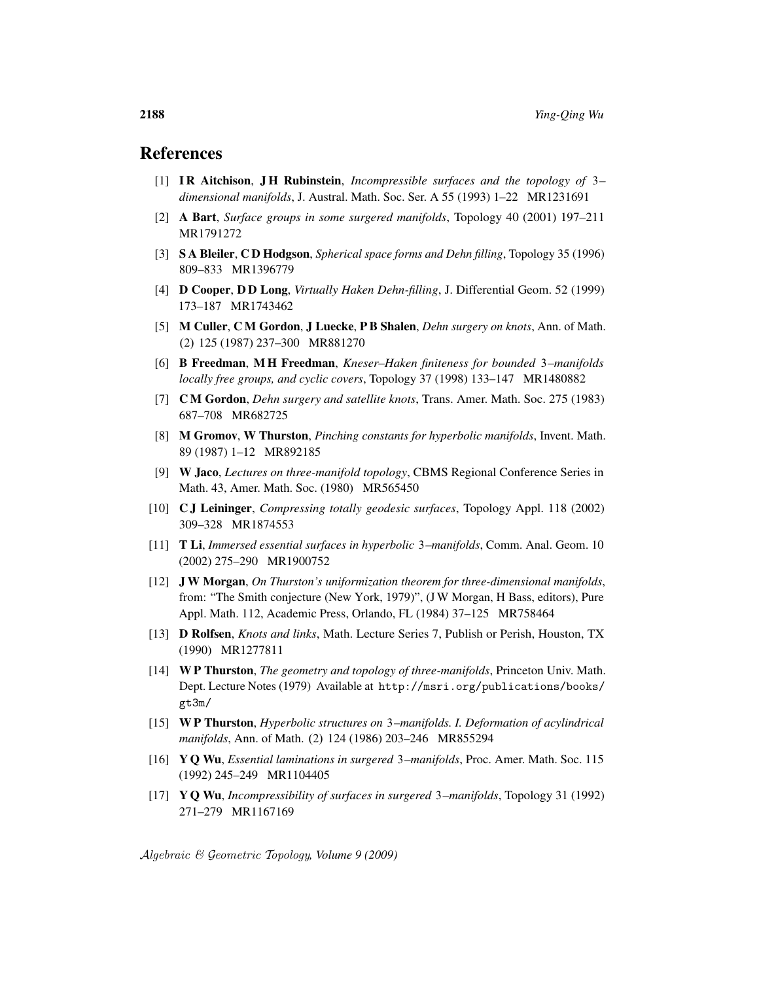#### References

- [1] I R Aitchison, J H Rubinstein, *Incompressible surfaces and the topology of* 3*– dimensional manifolds*, J. Austral. Math. Soc. Ser. A 55 (1993) 1–22 MR1231691
- [2] A Bart, *Surface groups in some surgered manifolds*, Topology 40 (2001) 197–211 MR1791272
- [3] S A Bleiler, C D Hodgson, *Spherical space forms and Dehn filling*, Topology 35 (1996) 809–833 MR1396779
- [4] D Cooper, D D Long, *Virtually Haken Dehn-filling*, J. Differential Geom. 52 (1999) 173–187 MR1743462
- [5] M Culler, C M Gordon, J Luecke, P B Shalen, *Dehn surgery on knots*, Ann. of Math. .2/ 125 (1987) 237–300 MR881270
- [6] B Freedman, M H Freedman, *Kneser–Haken finiteness for bounded* 3*–manifolds locally free groups, and cyclic covers*, Topology 37 (1998) 133–147 MR1480882
- [7] C M Gordon, *Dehn surgery and satellite knots*, Trans. Amer. Math. Soc. 275 (1983) 687–708 MR682725
- [8] M Gromov, W Thurston, *Pinching constants for hyperbolic manifolds*, Invent. Math. 89 (1987) 1–12 MR892185
- [9] W Jaco, *Lectures on three-manifold topology*, CBMS Regional Conference Series in Math. 43, Amer. Math. Soc. (1980) MR565450
- [10] C J Leininger, *Compressing totally geodesic surfaces*, Topology Appl. 118 (2002) 309–328 MR1874553
- [11] T Li, *Immersed essential surfaces in hyperbolic* 3*–manifolds*, Comm. Anal. Geom. 10 (2002) 275–290 MR1900752
- [12] J W Morgan, *On Thurston's uniformization theorem for three-dimensional manifolds*, from: "The Smith conjecture (New York, 1979)", (J W Morgan, H Bass, editors), Pure Appl. Math. 112, Academic Press, Orlando, FL (1984) 37–125 MR758464
- [13] D Rolfsen, *Knots and links*, Math. Lecture Series 7, Publish or Perish, Houston, TX (1990) MR1277811
- [14] W P Thurston, *The geometry and topology of three-manifolds*, Princeton Univ. Math. Dept. Lecture Notes (1979) Available at http://msri.org/publications/books/ gt3m/
- [15] W P Thurston, *Hyperbolic structures on* 3*–manifolds. I. Deformation of acylindrical manifolds*, Ann. of Math. (2) 124 (1986) 203-246 MR855294
- [16] Y Q Wu, *Essential laminations in surgered* 3*–manifolds*, Proc. Amer. Math. Soc. 115 (1992) 245–249 MR1104405
- [17] Y Q Wu, *Incompressibility of surfaces in surgered* 3*–manifolds*, Topology 31 (1992) 271–279 MR1167169